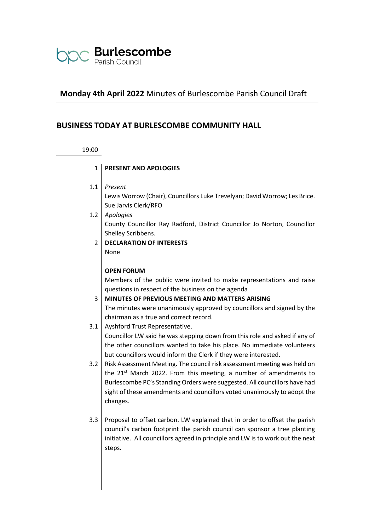

# **Monday 4th April 2022** Minutes of Burlescombe Parish Council Draft

# **BUSINESS TODAY AT BURLESCOMBE COMMUNITY HALL**

#### 19:00

- 1 **PRESENT AND APOLOGIES**
- 1.1 *Present*

Lewis Worrow (Chair), Councillors Luke Trevelyan; David Worrow; Les Brice. Sue Jarvis Clerk/RFO

- 1.2 *Apologies* County Councillor Ray Radford, District Councillor Jo Norton, Councillor Shelley Scribbens.
	- 2 **DECLARATION OF INTERESTS** None

#### **OPEN FORUM**

Members of the public were invited to make representations and raise questions in respect of the business on the agenda

#### 3 **MINUTES OF PREVIOUS MEETING AND MATTERS ARISING**

The minutes were unanimously approved by councillors and signed by the chairman as a true and correct record.

- 3.1 | Ayshford Trust Representative. Councillor LW said he was stepping down from this role and asked if any of the other councillors wanted to take his place. No immediate volunteers but councillors would inform the Clerk if they were interested.
- 3.2 Risk Assessment Meeting. The council risk assessment meeting was held on the  $21^{st}$  March 2022. From this meeting, a number of amendments to Burlescombe PC's Standing Orders were suggested. All councillors have had sight of these amendments and councillors voted unanimously to adopt the changes.
- 3.3 Proposal to offset carbon. LW explained that in order to offset the parish council's carbon footprint the parish council can sponsor a tree planting initiative. All councillors agreed in principle and LW is to work out the next steps.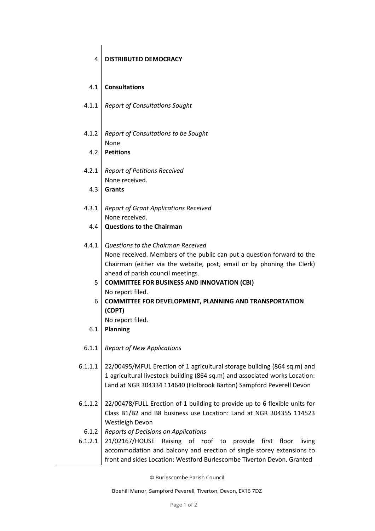### 4 **DISTRIBUTED DEMOCRACY**

#### 4.1 **Consultations**

- 4.1.1 *Report of Consultations Sought*
- 4.1.2 *Report of Consultations to be Sought* None
	- 4.2 **Petitions**
- 4.2.1 *Report of Petitions Received* None received.
	- 4.3 **Grants**
- 4.3.1 *Report of Grant Applications Received* None received.
	- 4.4 **Questions to the Chairman**

## 4.4.1 *Questions to the Chairman Received* None received. Members of the public can put a question forward to the Chairman (either via the website, post, email or by phoning the Clerk) ahead of parish council meetings.

- 5 **COMMITTEE FOR BUSINESS AND INNOVATION (CBI)** No report filed.
- 6 **COMMITTEE FOR DEVELOPMENT, PLANNING AND TRANSPORTATION (CDPT)** No report filed.
- 6.1 **Planning**
- 6.1.1 *Report of New Applications*
- 6.1.1.1 22/00495/MFUL Erection of 1 agricultural storage building (864 sq.m) and 1 agricultural livestock building (864 sq.m) and associated works Location: Land at NGR 304334 114640 (Holbrook Barton) Sampford Peverell Devon
- 6.1.1.2 22/00478/FULL Erection of 1 building to provide up to 6 flexible units for Class B1/B2 and B8 business use Location: Land at NGR 304355 114523 Westleigh Devon
- 6.1.2 *Reports of Decisions on Applications*
- 6.1.2.1 21/02167/HOUSE Raising of roof to provide first floor living accommodation and balcony and erection of single storey extensions to front and sides Location: Westford Burlescombe Tiverton Devon. Granted

© Burlescombe Parish Council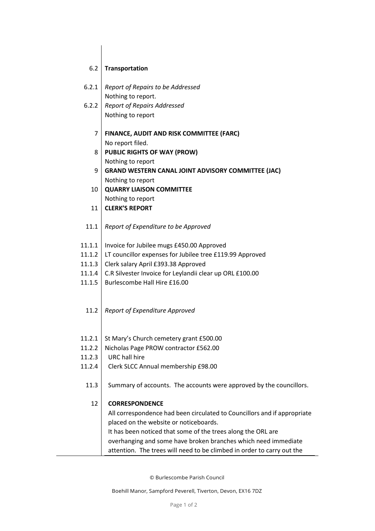#### 6.2 **Transportation**

- 6.2.1 *Report of Repairs to be Addressed* Nothing to report.
- 6.2.2 *Report of Repairs Addressed* Nothing to report
	- 7 **FINANCE, AUDIT AND RISK COMMITTEE (FARC)** No report filed.
	- 8 **PUBLIC RIGHTS OF WAY (PROW)** Nothing to report
	- 9 **GRAND WESTERN CANAL JOINT ADVISORY COMMITTEE (JAC)** Nothing to report
	- 10 **QUARRY LIAISON COMMITTEE** Nothing to report
	- 11 **CLERK'S REPORT**
- 11.1 *Report of Expenditure to be Approved*
- 11.1.1 Invoice for Jubilee mugs £450.00 Approved
- 11.1.2 LT councillor expenses for Jubilee tree £119.99 Approved
- 11.1.3 Clerk salary April £393.38 Approved
- 11.1.4 C.R Silvester Invoice for Leylandii clear up ORL £100.00
- 11.1.5 Burlescombe Hall Hire £16.00
	- 11.2 *Report of Expenditure Approved*
- 11.2.1 St Mary's Church cemetery grant £500.00
- 11.2.2 Nicholas Page PROW contractor £562.00
- 11.2.3 URC hall hire
- 11.2.4 Clerk SLCC Annual membership £98.00
	- 11.3 Summary of accounts. The accounts were approved by the councillors.

#### 12 **CORRESPONDENCE**

All correspondence had been circulated to Councillors and if appropriate placed on the website or noticeboards.

It has been noticed that some of the trees along the ORL are overhanging and some have broken branches which need immediate attention. The trees will need to be climbed in order to carry out the

© Burlescombe Parish Council